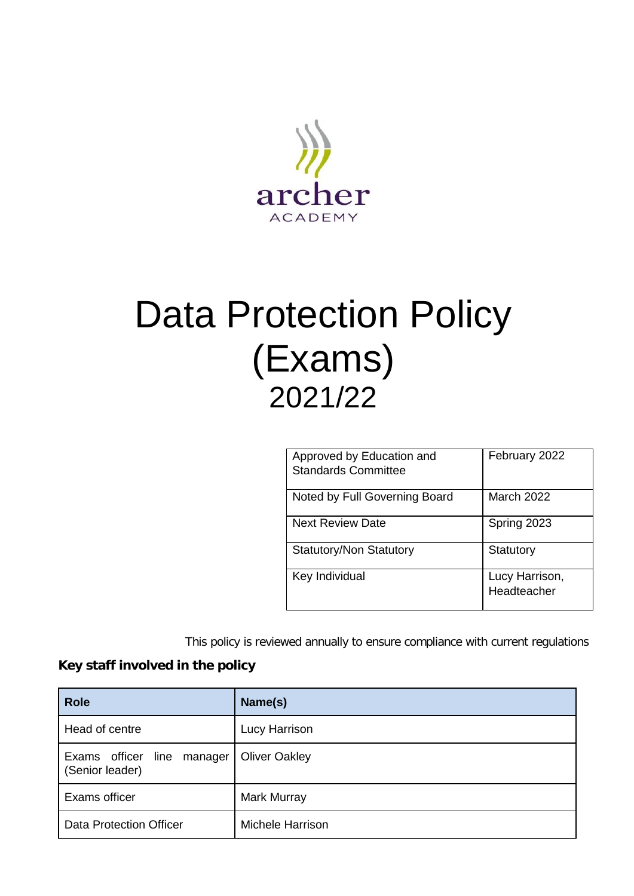

# Data Protection Policy (Exams) 2021/22

| Approved by Education and<br><b>Standards Committee</b> | February 2022                 |
|---------------------------------------------------------|-------------------------------|
| Noted by Full Governing Board                           | <b>March 2022</b>             |
| <b>Next Review Date</b>                                 | Spring 2023                   |
| <b>Statutory/Non Statutory</b>                          | Statutory                     |
| Key Individual                                          | Lucy Harrison,<br>Headteacher |

This policy is reviewed annually to ensure compliance with current regulations

# **Key staff involved in the policy**

| <b>Role</b>                                   | Name(s)              |
|-----------------------------------------------|----------------------|
| Head of centre                                | Lucy Harrison        |
| Exams officer line manager<br>(Senior leader) | <b>Oliver Oakley</b> |
| Exams officer                                 | <b>Mark Murray</b>   |
| Data Protection Officer                       | Michele Harrison     |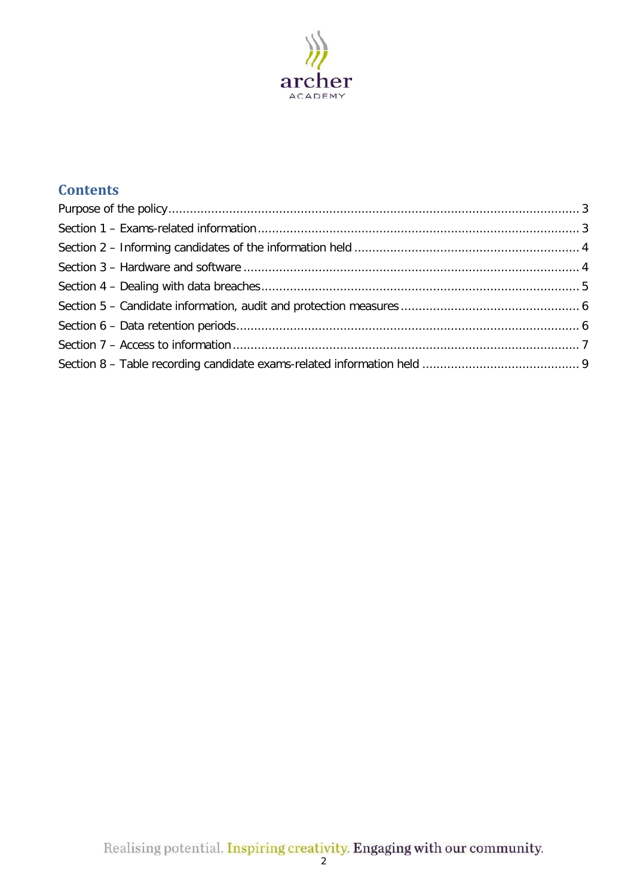

# **Contents**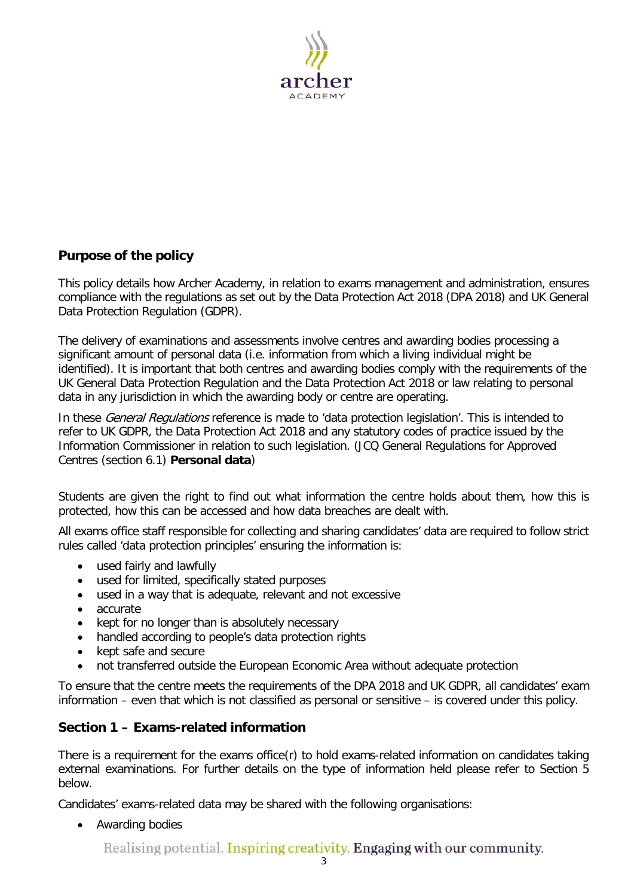

### <span id="page-2-0"></span>**Purpose of the policy**

This policy details how Archer Academy, in relation to exams management and administration, ensures compliance with the regulations as set out by the Data Protection Act 2018 (DPA 2018) and UK General Data Protection Regulation (GDPR).

The delivery of examinations and assessments involve centres and awarding bodies processing a significant amount of personal data (i.e. information from which a living individual might be identified). It is important that both centres and awarding bodies comply with the requirements of the UK General Data Protection Regulation and the Data Protection Act 2018 or law relating to personal data in any jurisdiction in which the awarding body or centre are operating.

In these *General Regulations* reference is made to 'data protection legislation'. This is intended to refer to UK GDPR, the Data Protection Act 2018 and any statutory codes of practice issued by the Information Commissioner in relation to such legislation. (JCQ [General Regulations for Approved](https://www.jcq.org.uk/exams-office/general-regulations/)  [Centres](https://www.jcq.org.uk/exams-office/general-regulations/) (section 6.1) **Personal data**)

Students are given the right to find out what information the centre holds about them, how this is protected, how this can be accessed and how data breaches are dealt with.

All exams office staff responsible for collecting and sharing candidates' data are required to follow strict rules called 'data protection principles' ensuring the information is:

- used fairly and lawfully
- used for limited, specifically stated purposes
- used in a way that is adequate, relevant and not excessive
- accurate
- kept for no longer than is absolutely necessary
- handled according to people's data protection rights
- kept safe and secure
- not transferred outside the European Economic Area without adequate protection

To ensure that the centre meets the requirements of the DPA 2018 and UK GDPR, all candidates' exam information – even that which is not classified as personal or sensitive – is covered under this policy.

#### <span id="page-2-1"></span>**Section 1 – Exams-related information**

There is a requirement for the exams office(r) to hold exams-related information on candidates taking external examinations. For further details on the type of information held please refer to Section 5 below.

Candidates' exams-related data may be shared with the following organisations:

• Awarding bodies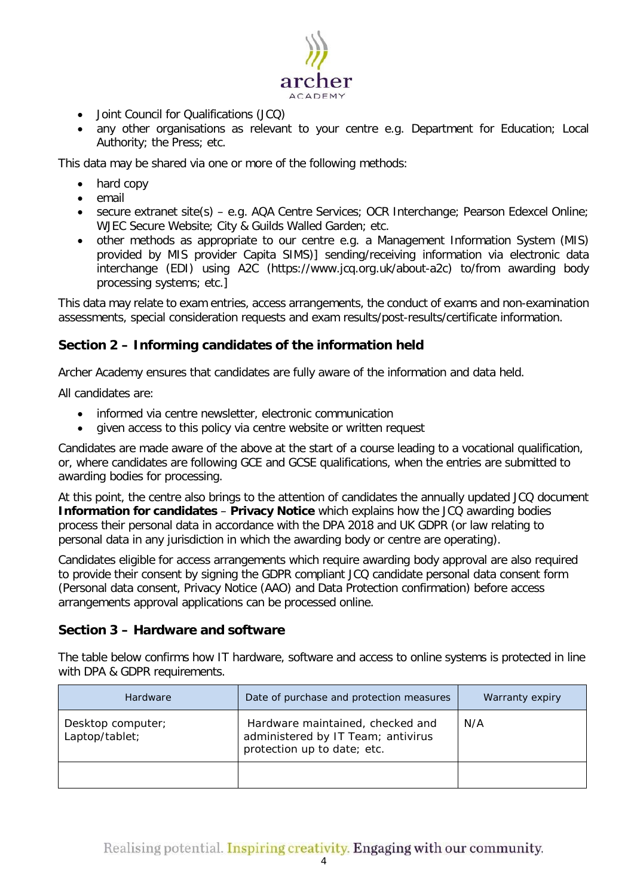

- Joint Council for Qualifications (JCQ)
- any other organisations as relevant to your centre e.g. Department for Education; Local Authority; the Press; etc.

This data may be shared via one or more of the following methods:

- hard copy
- email
- secure extranet site(s) e.g. AQA Centre Services; OCR Interchange; Pearson Edexcel Online; WJEC Secure Website; City & Guilds Walled Garden; etc.
- other methods as appropriate to our centre e.g. a Management Information System (MIS) provided by MIS provider Capita SIMS)] sending/receiving information via electronic data interchange (EDI) using A2C [\(https://www.jcq.org.uk/about-a2c\)](https://www.jcq.org.uk/about-a2c) to/from awarding body processing systems; etc.]

This data may relate to exam entries, access arrangements, the conduct of exams and non-examination assessments, special consideration requests and exam results/post-results/certificate information.

#### <span id="page-3-0"></span>**Section 2 – Informing candidates of the information held**

Archer Academy ensures that candidates are fully aware of the information and data held.

All candidates are:

- informed via centre newsletter, electronic communication
- given access to this policy via centre website or written request

Candidates are made aware of the above at the start of a course leading to a vocational qualification, or, where candidates are following GCE and GCSE qualifications, when the entries are submitted to awarding bodies for processing.

At this point, the centre also brings to the attention of candidates the annually updated JCQ document **Information for candidates - Privacy Notice** which explains how the JCQ awarding bodies process their personal data in accordance with the DPA 2018 and UK GDPR (or law relating to personal data in any jurisdiction in which the awarding body or centre are operating).

Candidates eligible for access arrangements which require awarding body approval are also required to provide their consent by signing the GDPR compliant JCQ candidate personal data consent form (Personal data consent, Privacy Notice (AAO) and Data Protection confirmation) before access arrangements approval applications can be processed online.

#### <span id="page-3-1"></span>**Section 3 – Hardware and software**

The table below confirms how IT hardware, software and access to online systems is protected in line with DPA & GDPR requirements.

| Hardware                            | Date of purchase and protection measures                                                              | Warranty expiry |
|-------------------------------------|-------------------------------------------------------------------------------------------------------|-----------------|
| Desktop computer;<br>Laptop/tablet; | Hardware maintained, checked and<br>administered by IT Team; antivirus<br>protection up to date; etc. | N/A             |
|                                     |                                                                                                       |                 |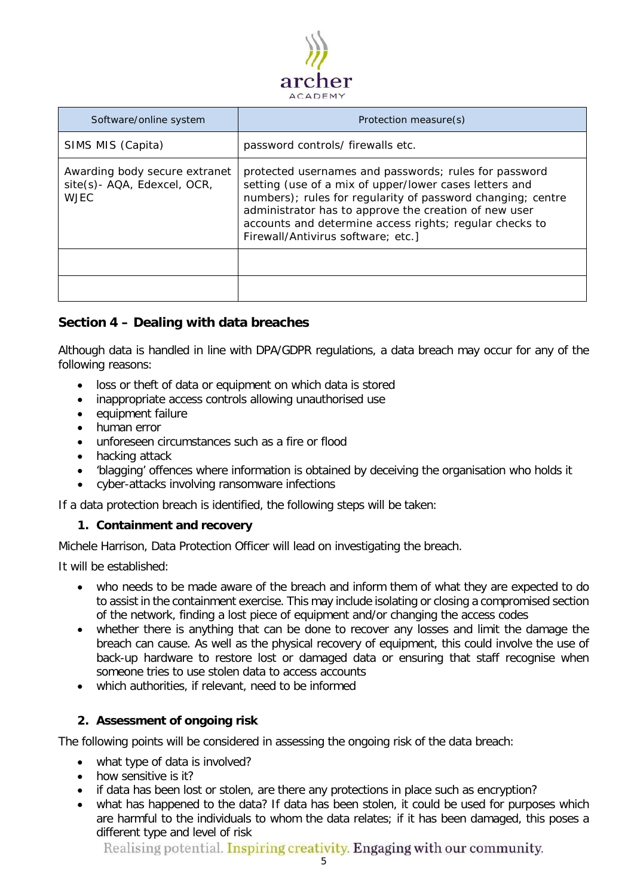

| Software/online system                                                      | Protection measure(s)                                                                                                                                                                                                                                                                                                                    |
|-----------------------------------------------------------------------------|------------------------------------------------------------------------------------------------------------------------------------------------------------------------------------------------------------------------------------------------------------------------------------------------------------------------------------------|
| SIMS MIS (Capita)                                                           | password controls/ firewalls etc.                                                                                                                                                                                                                                                                                                        |
| Awarding body secure extranet<br>site(s)- AQA, Edexcel, OCR,<br><b>WJEC</b> | protected usernames and passwords; rules for password<br>setting (use of a mix of upper/lower cases letters and<br>numbers); rules for regularity of password changing; centre<br>administrator has to approve the creation of new user<br>accounts and determine access rights; regular checks to<br>Firewall/Antivirus software; etc.] |
|                                                                             |                                                                                                                                                                                                                                                                                                                                          |
|                                                                             |                                                                                                                                                                                                                                                                                                                                          |

#### <span id="page-4-0"></span>**Section 4 – Dealing with data breaches**

Although data is handled in line with DPA/GDPR regulations, a data breach may occur for any of the following reasons:

- loss or theft of data or equipment on which data is stored
- inappropriate access controls allowing unauthorised use
- equipment failure
- human error
- unforeseen circumstances such as a fire or flood
- hacking attack
- 'blagging' offences where information is obtained by deceiving the organisation who holds it
- cyber-attacks involving ransomware infections

If a data protection breach is identified, the following steps will be taken:

#### **1. Containment and recovery**

Michele Harrison, Data Protection Officer will lead on investigating the breach.

It will be established:

- who needs to be made aware of the breach and inform them of what they are expected to do to assist in the containment exercise. This may include isolating or closing a compromised section of the network, finding a lost piece of equipment and/or changing the access codes
- whether there is anything that can be done to recover any losses and limit the damage the breach can cause. As well as the physical recovery of equipment, this could involve the use of back-up hardware to restore lost or damaged data or ensuring that staff recognise when someone tries to use stolen data to access accounts
- which authorities, if relevant, need to be informed

#### **2. Assessment of ongoing risk**

The following points will be considered in assessing the ongoing risk of the data breach:

- what type of data is involved?
- how sensitive is it?
- if data has been lost or stolen, are there any protections in place such as encryption?
- what has happened to the data? If data has been stolen, it could be used for purposes which are harmful to the individuals to whom the data relates; if it has been damaged, this poses a different type and level of risk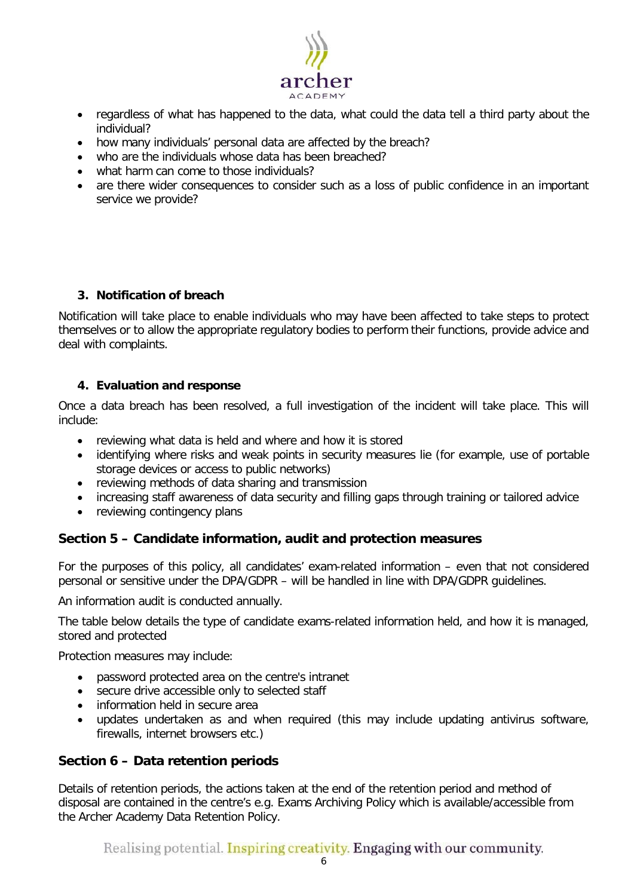

- regardless of what has happened to the data, what could the data tell a third party about the individual?
- how many individuals' personal data are affected by the breach?
- who are the individuals whose data has been breached?
- what harm can come to those individuals?
- are there wider consequences to consider such as a loss of public confidence in an important service we provide?

#### **3. Notification of breach**

Notification will take place to enable individuals who may have been affected to take steps to protect themselves or to allow the appropriate regulatory bodies to perform their functions, provide advice and deal with complaints.

#### **4. Evaluation and response**

Once a data breach has been resolved, a full investigation of the incident will take place. This will include:

- reviewing what data is held and where and how it is stored
- identifying where risks and weak points in security measures lie (for example, use of portable storage devices or access to public networks)
- reviewing methods of data sharing and transmission
- increasing staff awareness of data security and filling gaps through training or tailored advice
- reviewing contingency plans

#### <span id="page-5-0"></span>**Section 5 – Candidate information, audit and protection measures**

For the purposes of this policy, all candidates' exam-related information – even that not considered personal or sensitive under the DPA/GDPR – will be handled in line with DPA/GDPR guidelines.

An information audit is conducted annually.

The table below details the type of candidate exams-related information held, and how it is managed, stored and protected

Protection measures may include:

- password protected area on the centre's intranet
- secure drive accessible only to selected staff
- information held in secure area
- updates undertaken as and when required (this may include updating antivirus software, firewalls, internet browsers etc.)

#### <span id="page-5-1"></span>**Section 6 – Data retention periods**

Details of retention periods, the actions taken at the end of the retention period and method of disposal are contained in the centre's e.g. Exams Archiving Policy which is available/accessible from the Archer Academy Data Retention Policy.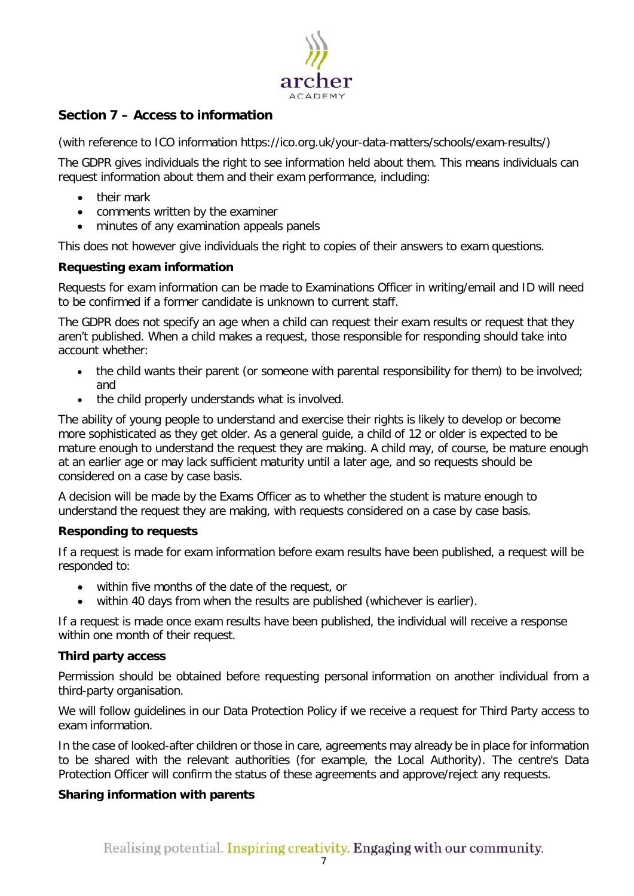

## <span id="page-6-0"></span>**Section 7 – Access to information**

(with reference to ICO information [https://ico.org.uk/your-data-matters/schools/exam-results/\)](https://ico.org.uk/your-data-matters/schools/exam-results/)

The GDPR gives individuals the right to see information held about them. This means individuals can request information about them and their exam performance, including:

- their mark
- comments written by the examiner
- minutes of any examination appeals panels

This does not however give individuals the right to copies of their answers to exam questions.

#### **Requesting exam information**

Requests for exam information can be made to Examinations Officer in writing/email and ID will need to be confirmed if a former candidate is unknown to current staff.

The GDPR does not specify an age when a child can request their exam results or request that they aren't published. When a child makes a request, those responsible for responding should take into account whether:

- the child wants their parent (or someone with parental responsibility for them) to be involved; and
- the child properly understands what is involved.

The ability of young people to understand and exercise their rights is likely to develop or become more sophisticated as they get older. As a general guide, a child of 12 or older is expected to be mature enough to understand the request they are making. A child may, of course, be mature enough at an earlier age or may lack sufficient maturity until a later age, and so requests should be considered on a case by case basis.

A decision will be made by the Exams Officer as to whether the student is mature enough to understand the request they are making, with requests considered on a case by case basis.

#### **Responding to requests**

If a request is made for exam information before exam results have been published, a request will be responded to:

- within five months of the date of the request, or
- within 40 days from when the results are published (whichever is earlier).

If a request is made once exam results have been published, the individual will receive a response within one month of their request.

#### **Third party access**

Permission should be obtained before requesting personal information on another individual from a third-party organisation.

We will follow guidelines in our Data Protection Policy if we receive a request for Third Party access to exam information.

In the case of looked-after children or those in care, agreements may already be in place for information to be shared with the relevant authorities (for example, the Local Authority). The centre's Data Protection Officer will confirm the status of these agreements and approve/reject any requests.

#### **Sharing information with parents**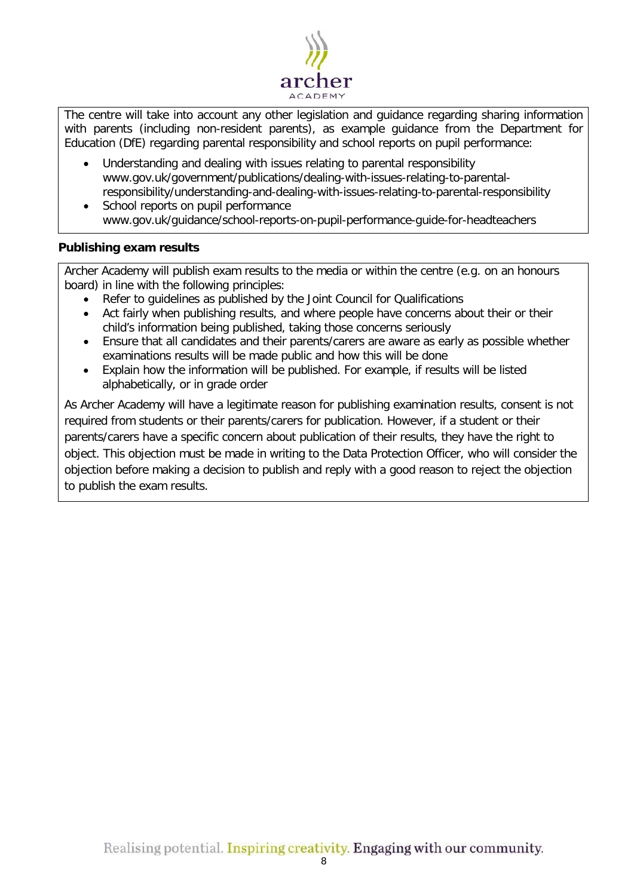

The centre will take into account any other legislation and guidance regarding sharing information with parents (including non-resident parents), as example guidance from the Department for Education (DfE) regarding parental responsibility and school reports on pupil performance:

- Understanding and dealing with issues relating to parental responsibility [www.gov.uk/government/publications/dealing-with-issues-relating-to-parental](https://www.gov.uk/government/publications/dealing-with-issues-relating-to-parental-responsibility/understanding-and-dealing-with-issues-relating-to-parental-responsibility)[responsibility/understanding-and-dealing-with-issues-relating-to-parental-responsibility](https://www.gov.uk/government/publications/dealing-with-issues-relating-to-parental-responsibility/understanding-and-dealing-with-issues-relating-to-parental-responsibility)
- School reports on pupil performance [www.gov.uk/guidance/school-reports-on-pupil-performance-guide-for-headteachers](http://www.gov.uk/guidance/school-reports-on-pupil-performance-guide-for-headteachers)

#### **Publishing exam results**

Archer Academy will publish exam results to the media or within the centre (e.g. on an honours board) in line with the following principles:

- Refer to quidelines as published by the Joint Council for Qualifications
- Act fairly when publishing results, and where people have concerns about their or their child's information being published, taking those concerns seriously
- Ensure that all candidates and their parents/carers are aware as early as possible whether examinations results will be made public and how this will be done
- Explain how the information will be published. For example, if results will be listed alphabetically, or in grade order

As Archer Academy will have a legitimate reason for publishing examination results, consent is not required from students or their parents/carers for publication. However, if a student or their parents/carers have a specific concern about publication of their results, they have the right to object. This objection must be made in writing to the Data Protection Officer, who will consider the objection before making a decision to publish and reply with a good reason to reject the objection to publish the exam results.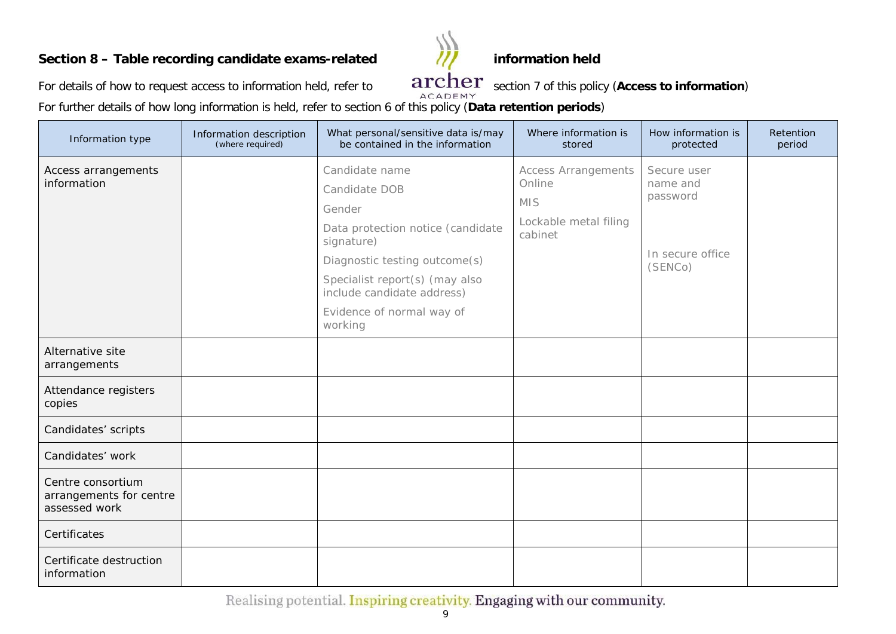# **Section 8 – Table recording candidate exams-related /// information held**



For details of how to request access to information held, refer to  $\frac{archer}{arcamp}$  section 7 of this policy (Access to information)

For further details of how long information is held, refer to section 6 of this policy (**Data retention periods**)

<span id="page-8-0"></span>

| Information type                                              | Information description<br>(where required) | What personal/sensitive data is/may<br>be contained in the information                                                                                                                                                                | Where information is<br>stored                                                         | How information is<br>protected                                    | Retention<br>period |
|---------------------------------------------------------------|---------------------------------------------|---------------------------------------------------------------------------------------------------------------------------------------------------------------------------------------------------------------------------------------|----------------------------------------------------------------------------------------|--------------------------------------------------------------------|---------------------|
| Access arrangements<br>information                            |                                             | Candidate name<br>Candidate DOB<br>Gender<br>Data protection notice (candidate<br>signature)<br>Diagnostic testing outcome(s)<br>Specialist report(s) (may also<br>include candidate address)<br>Evidence of normal way of<br>working | <b>Access Arrangements</b><br>Online<br><b>MIS</b><br>Lockable metal filing<br>cabinet | Secure user<br>name and<br>password<br>In secure office<br>(SENCo) |                     |
| Alternative site<br>arrangements                              |                                             |                                                                                                                                                                                                                                       |                                                                                        |                                                                    |                     |
| Attendance registers<br>copies                                |                                             |                                                                                                                                                                                                                                       |                                                                                        |                                                                    |                     |
| Candidates' scripts                                           |                                             |                                                                                                                                                                                                                                       |                                                                                        |                                                                    |                     |
| Candidates' work                                              |                                             |                                                                                                                                                                                                                                       |                                                                                        |                                                                    |                     |
| Centre consortium<br>arrangements for centre<br>assessed work |                                             |                                                                                                                                                                                                                                       |                                                                                        |                                                                    |                     |
| Certificates                                                  |                                             |                                                                                                                                                                                                                                       |                                                                                        |                                                                    |                     |
| Certificate destruction<br>information                        |                                             |                                                                                                                                                                                                                                       |                                                                                        |                                                                    |                     |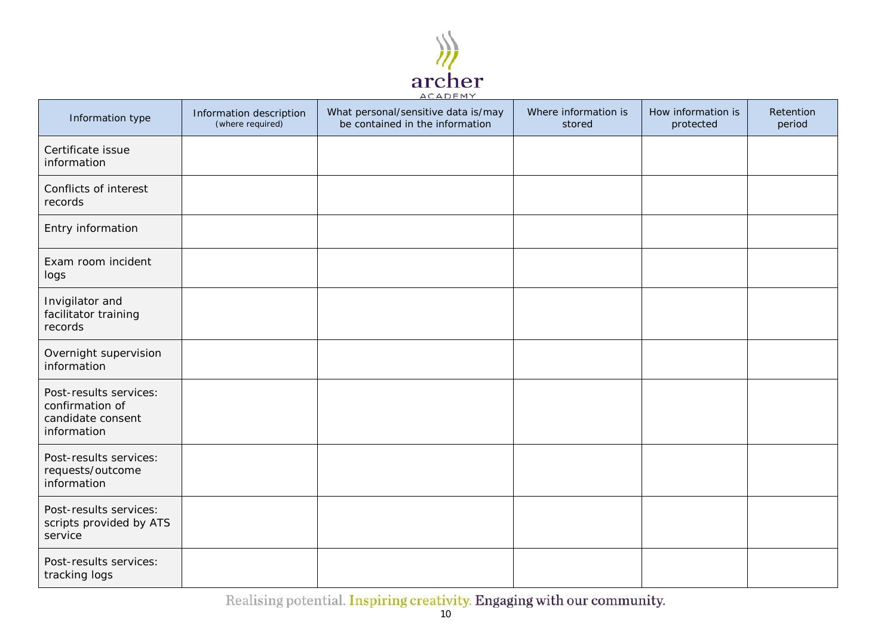

| Information type                                                              | Information description<br>(where required) | What personal/sensitive data is/may<br>be contained in the information | Where information is<br>stored | How information is<br>protected | Retention<br>period |
|-------------------------------------------------------------------------------|---------------------------------------------|------------------------------------------------------------------------|--------------------------------|---------------------------------|---------------------|
| Certificate issue<br>information                                              |                                             |                                                                        |                                |                                 |                     |
| Conflicts of interest<br>records                                              |                                             |                                                                        |                                |                                 |                     |
| Entry information                                                             |                                             |                                                                        |                                |                                 |                     |
| Exam room incident<br>logs                                                    |                                             |                                                                        |                                |                                 |                     |
| Invigilator and<br>facilitator training<br>records                            |                                             |                                                                        |                                |                                 |                     |
| Overnight supervision<br>information                                          |                                             |                                                                        |                                |                                 |                     |
| Post-results services:<br>confirmation of<br>candidate consent<br>information |                                             |                                                                        |                                |                                 |                     |
| Post-results services:<br>requests/outcome<br>information                     |                                             |                                                                        |                                |                                 |                     |
| Post-results services:<br>scripts provided by ATS<br>service                  |                                             |                                                                        |                                |                                 |                     |
| Post-results services:<br>tracking logs                                       |                                             |                                                                        |                                |                                 |                     |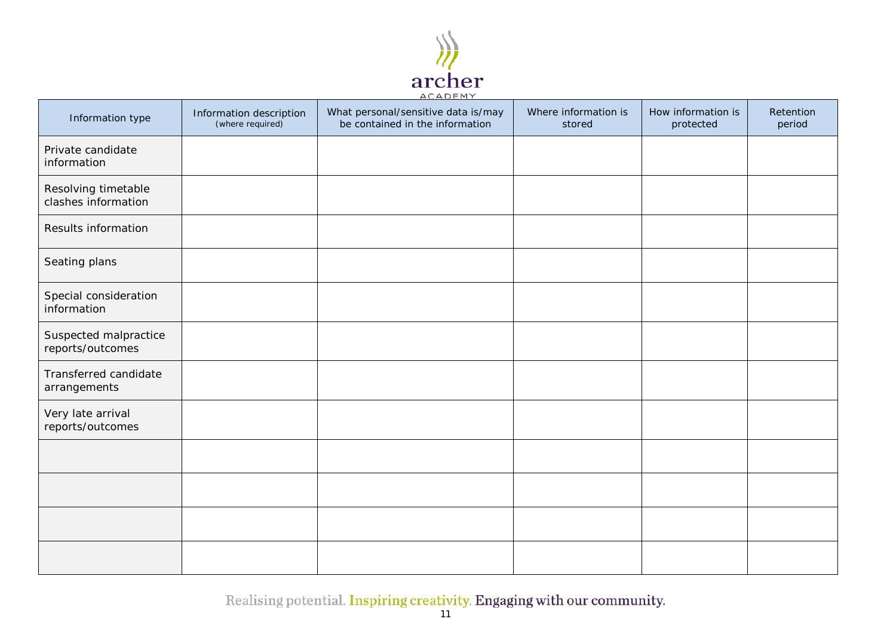

| Information type                           | Information description<br>(where required) | What personal/sensitive data is/may<br>be contained in the information | Where information is<br>stored | How information is<br>protected | Retention<br>period |
|--------------------------------------------|---------------------------------------------|------------------------------------------------------------------------|--------------------------------|---------------------------------|---------------------|
| Private candidate<br>information           |                                             |                                                                        |                                |                                 |                     |
| Resolving timetable<br>clashes information |                                             |                                                                        |                                |                                 |                     |
| Results information                        |                                             |                                                                        |                                |                                 |                     |
| Seating plans                              |                                             |                                                                        |                                |                                 |                     |
| Special consideration<br>information       |                                             |                                                                        |                                |                                 |                     |
| Suspected malpractice<br>reports/outcomes  |                                             |                                                                        |                                |                                 |                     |
| Transferred candidate<br>arrangements      |                                             |                                                                        |                                |                                 |                     |
| Very late arrival<br>reports/outcomes      |                                             |                                                                        |                                |                                 |                     |
|                                            |                                             |                                                                        |                                |                                 |                     |
|                                            |                                             |                                                                        |                                |                                 |                     |
|                                            |                                             |                                                                        |                                |                                 |                     |
|                                            |                                             |                                                                        |                                |                                 |                     |